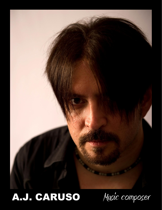

## A.J. CARUSO Music composer